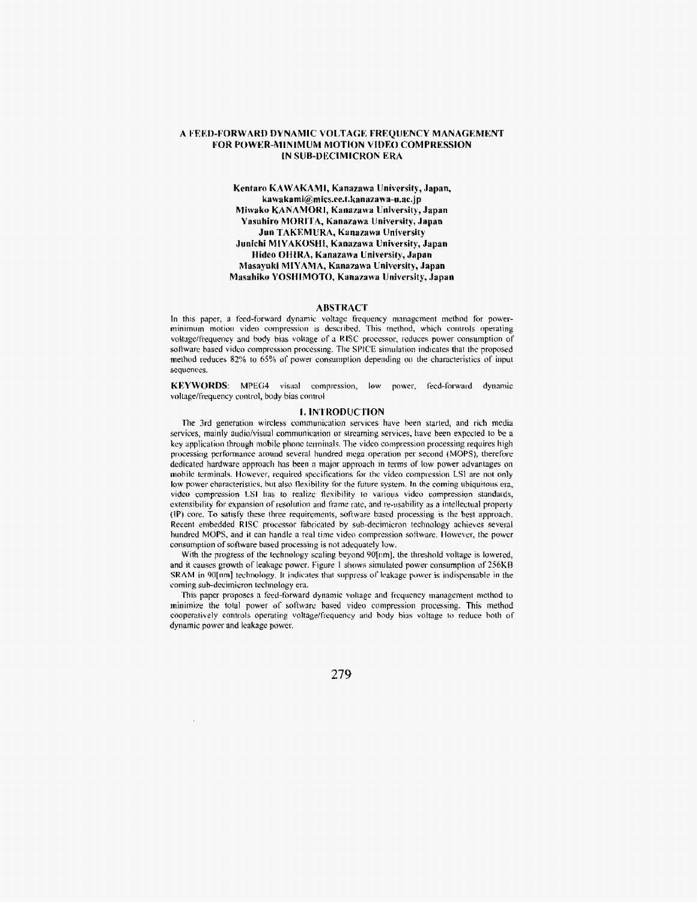# **A FEED-FORWARD DYNAhIIC VOLTAGE: FREQUENCY MANAGEMENT FOR POWER-MINIMUM MOTION VIDEO COMPRESSION IN SUB-DECIMICRON ERA**

# **Kentaro KAWAKAMI, Kanazawa University, Japan, kawakami@mics.ec.t.kanazawa-u.ac.j** p **Miwako KANAhIORI, Kanazawa University, Japan Yasuhiro MORI'I'A, Kanaaawa University, Japan Jun TAKEMURA, Kanazawa University Junichi MIYAKOSHI, Kanazawa University, Japan Hideo OHIIIA, Kanazawa University, Japan Masayuki MIYAMA, Kanazawa University, Japan Masahiku YOSHIMOTO, Kanazawa Univrrsity, Japan**

# **ABSTRACT**

In this paper, a feed-forward dynamic voltage frequency management method for powerminimum motioii video compression IS describcd. **This mehod,** which controls operating voltage/frequency and body hias voltage of a RISC processor, reduces power consumption of software based video compression processing. The SPICE simulation indicates that the proposed method reduces **82%** to 65% or **power** constimption depending oil the cliaracleristics of input sequcnces.

**KEYWORDS:** MPEG4 visual compression, low power. feed-forward dynamic voltage/frequency control, body bias control

#### **I. INTRODUCTION**

The 3rd generation **wircless** communication **services** have been started, and rich **media**  services, mainly audio/visual communication or streaming services, have been expected to be a key application through mobile phone terminals. The video compression processing requires high processing performance around several hundred mcga operntion per secund **(MOPS),** thertfolr dedicated hardware approach lias been a major approach in term of **Inw** power advantages on mobile terminals. However, required specifications for the video compression LS1 are not only low power characteristics, but also *flexibility* for the future system. In the coming ubiquitous era, video compression LSI has to realize flexibility to various video compression standards, extensibility for expansion of resolution and frame rate, and re-usability as a intellectual property **(IP)** core^ To **saiisl'y** these three requirements, software hascd processing **is** the **best** approach. **Recent embedded RISC processor fabricated by sub-decimicron technology achieves several** hundred MOPS, **and it** can handle a real time video compression software. **Ilowevcr,** the power consumption of sofirvare based processing is not adequately **low.** 

With the progress of the technology scaling beyond 90[nm], the threshold voltage is lowered, and it causes growth of leakage power. Figure 1 shows simulated power consumption of 256KB **SRAM** in 90[nm] **technology**. It indicates that suppress of leakage power is indispensable in the coming sub-decimicron technology era.

'This paper **proposes** n feed-fbrward dynamic **voltage** and frequency inanagelnent nierhod **to minimise** the iota1 puwer **of** software based video compression processing. This method cooperatively **controls** operating **voltage/frcqurncy** and body hias volinge **IC)** reduce **holln** of dynamic power and leakage power.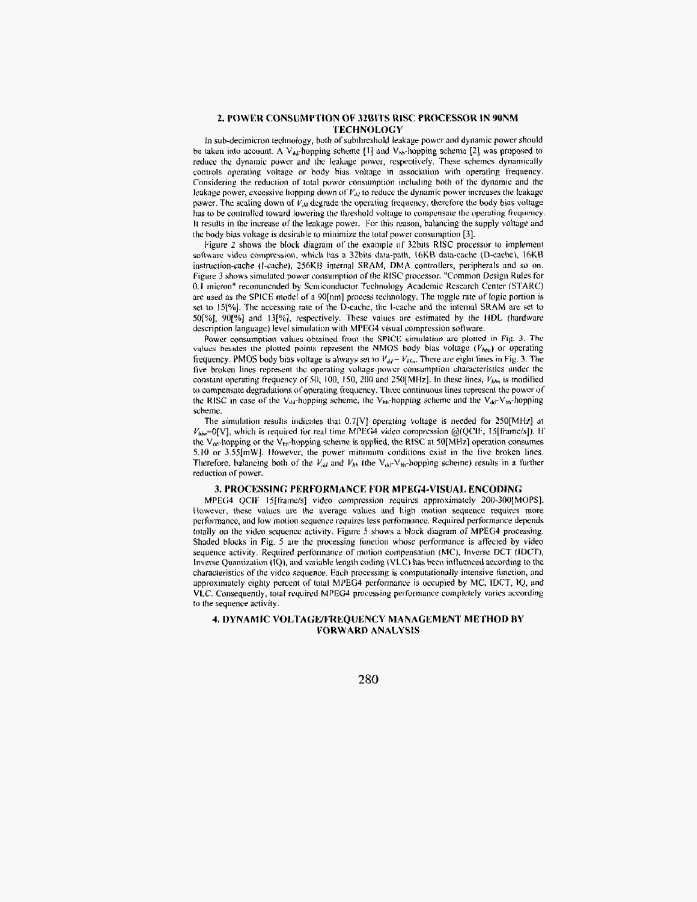# 2. POWER CONSUMPTION OF 32BITS RISC PROCESSOR IN 90NM **TECHNOLOGY**

In sub-decimicron technology, both of subthreshold leakage power and dynamic power should be taken into account. A V<sub>ibl</sub>-hopping scheme  $\{1\}$  and V<sub>hb</sub>-hopping scheme  $\{2\}$  was proposed to reduce the dynamic power and the leakage power, respectively. These schemes dynamically controls operating voltage or body bias voltage in association with operating frequency. Considering the reduction of total power consumption including both of the dynamic and the leakage power, excessive hopping down of  $V_{dd}$  to reduce the dynamic power increases the leakage power. The scaling down of  $V_M$  degrade the operating frequency, therefore the body bias voltage has to be controlled toward lowering the threshold voltage to compensate the operating frequency. It results in the increase of the leakage power. For this reason, balancing the supply voltage and the body bias voltage is desirable to minimize the total power consumption [3].

Figure 2 shows the block diagram of the example of 32bits RISC processor to implement software video compression, which has a 32bits data-path, 16KB data-cache (D-cache), 16KB instruction-cache (I-cache), 256KB internal SRAM, DMA controllers, peripherals and so on. Figure 3 shows simulated power consumption of the RISC processor. "Common Design Rules for 0.1 micron" recommended by Semiconductor Technology Academic Research Center (STARC) are used as the SPICE model of a 90[nm] process technology. The toggle rate of logic portion is set to 15[%]. The accessing rate of the D-cache, the 1-cache and the internal SRAM are set to 50[%], 90[%] and 13[%], respectively. These values are estimated by the HDL (hardware description language) level simulation with MPEG4 visual compression software.

Power consumption values obtained from the SPICE simulation are plotted in Fig. 3. The values besides the plotted points represent the NMOS body bias voltage  $(V_{bbn})$  or operating frequency. PMOS body bias voltage is always set to  $V_{dd} - V_{bbn}$ . There are eight lines in Fig. 3. The five broken lines represent the operating voltage-power consumption characteristics under the constant operating frequency of 50, 100, 150, 200 and 250[MHz]. In these lines,  $V_{bbx}$  is modified to compensate degradations of operating frequency. Three continuous lines represent the power of the RISC in case of the V<sub>dd</sub>-hopping scheme, the V<sub>bb</sub>-hopping scheme and the V<sub>dd</sub>-V<sub>bb</sub>-hopping scheme.

The simulation results indicates that 0.7[V] operating voltage is needed for 250[MHz] at  $V_{bba}$ =0[V], which is required for real time MPEG4 video compression @(QCIF, 15[frame/s]). If the V<sub>dd</sub>-hopping or the V<sub>bb</sub>-hopping scheme is applied, the RISC at 50[MHz] operation consumes 5.10 or 3.55[mW]. However, the power minimum conditions exist in the five broken lines. Therefore, balancing both of the  $V_{dd}$  and  $V_{bb}$  (the  $V_{dd}$ - $V_{bb}$ -hopping scheme) results in a further reduction of power.

#### 3. PROCESSING PERFORMANCE FOR MPEG4-VISUAL ENCODING

MPEG4 QCIF 15[frame/s] video compression requires approximately 200-300[MOPS]. However, these values are the average values and high motion sequence requires more performance, and low motion sequence requires less performance. Required performance depends totally on the video sequence activity. Figure 5 shows a block diagram of MPEG4 processing. Shaded blocks in Fig. 5 are the processing function whose performance is affected by video sequence activity. Required performance of motion compensation (MC), Inverse DCT (IDCT), Inverse Quantization (IQ), and variable length coding (VLC) has been influenced according to the characteristics of the video sequence. Each processing is computationally intensive function, and approximately eighty percent of total MPEG4 performance is occupied by MC, IDCT, IQ, and VLC. Consequently, total required MPEG4 processing performance completely varies according to the sequence activity.

# 4. DYNAMIC VOLTAGE/FREQUENCY MANAGEMENT METHOD BY **FORWARD ANALYSIS**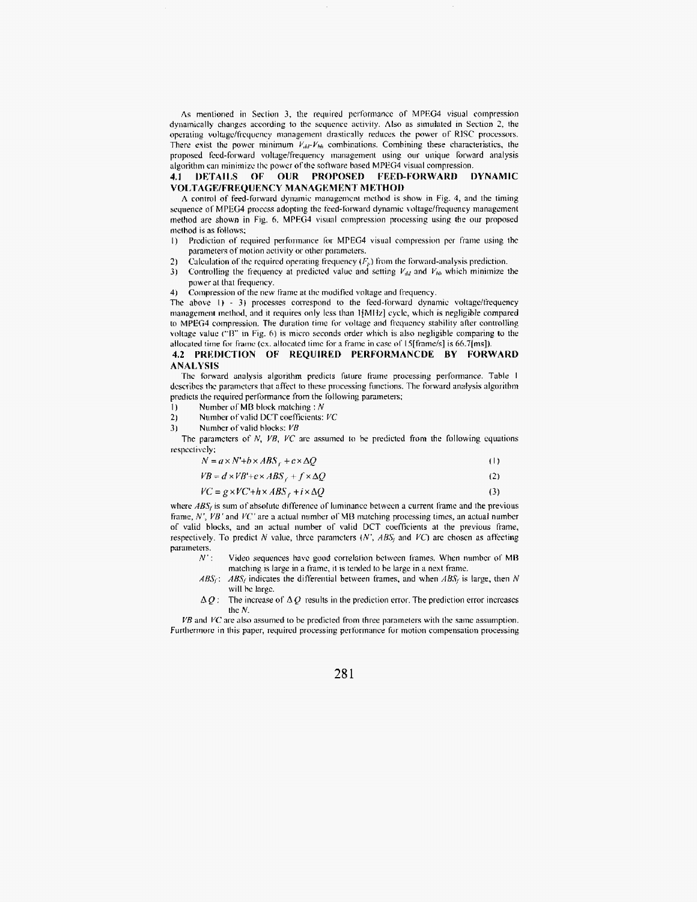As mentioned in Section 3, the required performance of MPEG4 visual compression dynamically changes according to the sequence activity. Also as simulated in Section 2, the operating voltage/frequency management drastically reduces the power of RISC processors. There exist the power minimum  $V_{dd}V_{bh}$  combinations. Combining these characteristics, the proposed feed-forward voltage/frequency management using our unique forward analysis algorithm can minimize the power of the software based MPEG4 visual compression.

#### 4.1 DETAILS OF OUR PROPOSED FEED-FORWARD **DYNAMIC** VOLTAGE/FREQUENCY MANAGEMENT METHOD

A control of feed-forward dynamic management method is show in Fig. 4, and the timing sequence of MPEG4 process adopting the feed-forward dynamic voltage/frequency management method are shown in Fig. 6. MPEG4 visual compression processing using the our proposed method is as follows;

- Prediction of required performance for MPEG4 visual compression per frame using the  $\mathbf{D}$ parameters of motion activity or other parameters.
- Calculation of the required operating frequency  $(F_n)$  from the forward-analysis prediction.  $2<sub>1</sub>$
- Controlling the frequency at predicted value and setting  $V_{dd}$  and  $V_{bb}$  which minimize the  $3)$ power at that frequency.
- 4) Compression of the new frame at the modified voltage and frequency.

The above  $1)$  - 3) processes correspond to the feed-forward dynamic voltage/frequency management method, and it requires only less than 1[MHz] cycle, which is negligible compared to MPEG4 compression. The duration time for voltage and frequency stability after controlling voltage value ("B" in Fig. 6) is micro seconds order which is also negligible comparing to the allocated time for frame (ex. allocated time for a frame in case of 15[frame/s] is 66.7[ms]).

### 4.2 PREDICTION OF REQUIRED PERFORMANCDE BY FORWARD **ANALYSIS**

The forward analysis algorithm predicts future frame processing performance. Table 1 describes the parameters that affect to these processing functions. The forward analysis algorithm predicts the required performance from the following parameters;

- Number of MB block matching :  $N$  $\overline{1}$
- $2)$ Number of valid DCT coefficients: VC
- Number of valid blocks: VB 3)

The parameters of  $N$ ,  $VB$ ,  $VC$  are assumed to be predicted from the following equations respectively;

| $N = a \times N^2 + b \times ABS_r + c \times \Delta Q$ |  |  |
|---------------------------------------------------------|--|--|
|---------------------------------------------------------|--|--|

 $VB = d \times VB' + e \times ABS_{f} + f \times \Delta Q$  $(2)$ 

$$
VC = g \times VC + h \times ABS + i \times \Delta Q \tag{3}
$$

where  $ABS<sub>i</sub>$  is sum of absolute difference of luminance between a current frame and the previous frame,  $N'$ ,  $VB'$  and  $VC'$  are a actual number of MB matching processing times, an actual number of valid blocks, and an actual number of valid DCT coefficients at the previous frame, respectively. To predict  $N$  value, three parameters  $(N', ABS<sub>f</sub>)$  and  $VC$ ) are chosen as affecting parameters.

- $N$ . Video sequences have good correlation between frames. When number of MB matching is large in a frame, it is tended to be large in a next frame.
- $ABS_f$ :  $ABS_f$  indicates the differential between frames, and when  $ABS_f$  is large, then N will be large.
- The increase of  $\Delta Q$  results in the prediction error. The prediction error increases  $\Delta Q$  : the N.

 $VB$  and  $VC$  are also assumed to be predicted from three parameters with the same assumption. Furthermore in this paper, required processing performance for motion compensation processing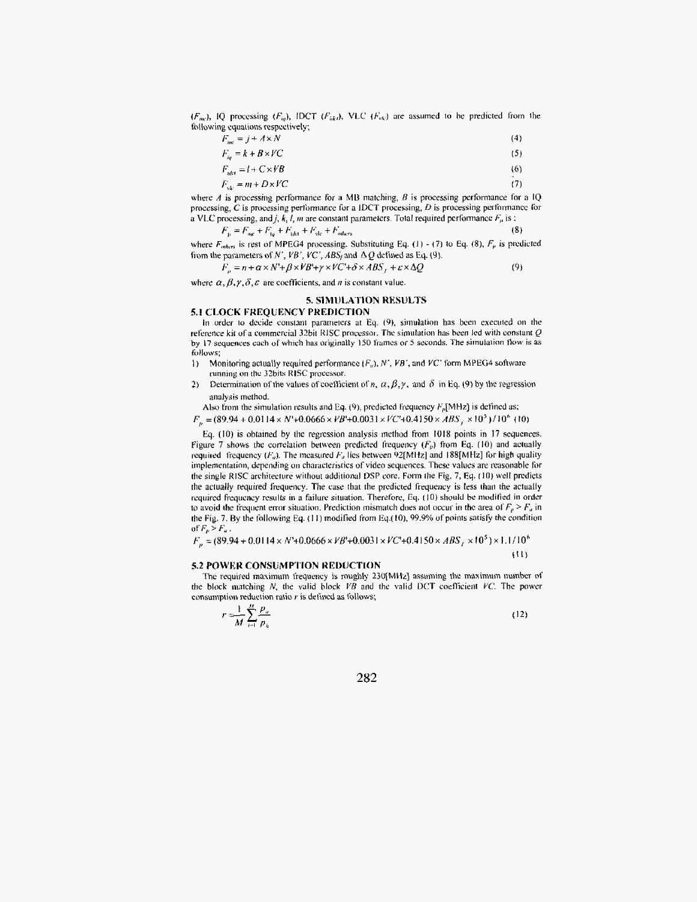$(F_{abc})$ , IQ processing  $(F_{ia})$ , IDCT  $(F_{iik})$ , VLC  $(F_{ik})$  are assumed to be predicted from the following equations respectively,

$$
F_{\text{inc}} = j + A \times N \tag{4}
$$

$$
F_{iq} = k + B \times VC \tag{5}
$$

$$
F_{\text{att}} = I + C \times V \cdot B \tag{6}
$$

$$
F_{\rm vir} = m + D \times VC \tag{7}
$$

where A is processing performance for a MB matching, B is processing performance for a IQ processing,  $C$  is processing performance for a IDCT processing,  $D$  is processing performance for a VLC processing, and *j*, *k*, *l*, *m* are constant parameters. Total required performance  $F_p$  is ;

$$
F_{\rm p} = F_{\rm age} + F_{\rm to} + F_{\rm det} + F_{\rm ele} + F_{\rm orders}
$$
 (8)

where  $F_{other}$  is rest of MPEG4 processing. Substituting Eq. (1) - (7) to Eq. (8),  $F_p$  is predicted from the parameters of N', VB', VC', ABS<sub>t</sub> and  $\Delta Q$  defined as Eq. (9).

$$
F_p = n + \alpha \times N' + \beta \times V B' + \gamma \times V C' + \delta \times ABS_f + \varepsilon \times \Delta Q \tag{9}
$$

where  $\alpha, \beta, \gamma, \delta, \varepsilon$  are coefficients, and *n* is constant value.

# 5. SIMULATION RESULTS

#### 5.1 CLOCK FREQUENCY PREDICTION In order to decide constant parameters at Eq. (9), simulation has been executed on the reference kit of a commercial 32bit RISC processor. The simulation has been led with constant  $Q$ by 17 sequences each of which has originally 150 frames or 5 seconds. The simulation flow is as follows:

- Monitoring actually required performance  $(F_a)$ , N', VB', and VC' form MPEG4 software A) running on the 32bits RISC processor.
- Determination of the values of coefficient of n,  $\alpha$ ,  $\beta$ ,  $\gamma$ , and  $\delta$  in Eq. (9) by the regression  $2)$ analysis method.

Also from the simulation results and Eq. (9), predicted frequency  $F_p[\text{MHz}]$  is defined as;

 $F_n = (89.94 + 0.0114 \times N' + 0.0666 \times VB' + 0.0031 \times VC' + 0.4150 \times ABS_i \times 10^5)/10^6$  (10)

Eq. (10) is obtained by the regression analysis method from 1018 points in 17 sequences. Figure 7 shows the correlation between predicted frequency  $(F_p)$  from Eq. (10) and actually required frequency  $(F_a)$ . The measured  $F_a$  lies between 92[MHz] and 188[MHz] for high quality implementation, depending on characteristics of video sequences. These values are reasonable for the single RISC architecture without additional DSP core. Form the Fig. 7, Eq. (10) well predicts the actually required frequency. The case that the predicted frequency is less than the actually required frequency results in a failure situation. Therefore, Eq. (10) should be modified in order to avoid the frequent error situation. Prediction mismatch does not occur in the area of  $F_p > F_a$  in the Fig. 7. By the following Eq. (11) modified from Eq.(10), 99.9% of points satisfy the condition of  $F_p > F_a$ .

 $F_p = (89.94 + 0.0114 \times N' + 0.0666 \times VB' + 0.0031 \times VC' + 0.4150 \times ABS_r \times 10^5) \times 1.1/10^6$ 

## 5.2 POWER CONSUMPTION REDUCTION

The required maximum frequency is roughly 230[MHz] assuming the maximum number of the block matching  $N$ , the valid block  $VB$  and the valid DCT coefficient  $VC$ . The power consumption reduction ratio r is defined as follows;

$$
-\frac{1}{M}\sum_{i=1}^{M}\frac{p_a}{p_b} \tag{12}
$$

 $(11)$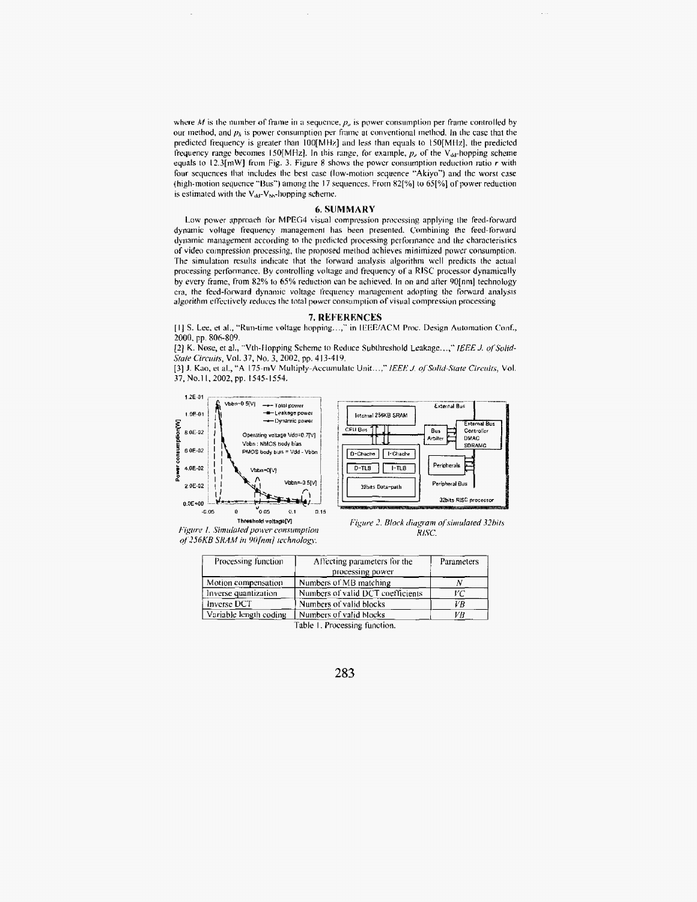where M is the number of frame in a sequence,  $p_u$  is power consumption per frame controlled by our method, and  $p<sub>h</sub>$  is power consumption per frame at conventional method. In the case that the predicted frequency is greater than 100[MHz] and less than equals to 150[MHz], the predicted frequency range becomes 150[MHz]. In this range, for example,  $p_{\nu}$  of the V<sub>&F</sub>-hopping scheme equals to  $12.3$ [mW] from Fig. 3. Figure 8 shows the power consumption reduction ratio  $r$  with four sequences that includes the best case (low-motion sequence "Akiyo") and the worst case (high-motion sequence "Bus") among the 17 sequences. From 82[%] to 65[%] of power reduction is estimated with the V<sub>dd</sub>-V<sub>bb</sub>-hopping scheme.

#### **6. SUMMARY**

Low power approach for MPEG4 visual compression processing applying the feed-forward dynamic voltage frequency management has been presented. Combining the feed-forward dynamic management according to the predicted processing performance and the characterístics of video compression processing, the proposed method achieves minimized power consumption. The simulation results indicate that the forward analysis algorithm well predicts the actual processing performance. By controlling voltage and frequency of a RISC processor dynamically by every frame, from 82% to 65% reduction can be achieved. In on and after 90[nm] technology era, the feed-forward dynamic voltage frequency management adopting the forward analysis algorithm effectively reduces the total power consumption of visual compression processing

# 7. REFERENCES

[1] S. Lee, et al., "Run-time voltage hopping...," in IEEE/ACM Proc. Design Automation Conf., 2000, pp. 806-809.

[2] K. Nose, et al., "Vth-Hopping Scheme to Reduce Subthreshold Leakage...," IEEE J. of Solid-State Circuits, Vol. 37, No. 3, 2002, pp. 413-419.

[3] J. Kao, et al., "A 175-mV Multiply-Accumulate Unit...," IEEE J. of Solid-State Circuits, Vol. 37, No.11, 2002, pp. 1545-1554.





Figure 1. Simulated power consumption of 256KB SRAM in 90[nm] technology.

Figure 2. Block diagram of simulated 32bits RISC.

| Processing function    | Affecting parameters for the      | Parameters |
|------------------------|-----------------------------------|------------|
|                        | processing power                  |            |
| Motion compensation    | Numbers of MB matching            |            |
| Inverse quantization   | Numbers of valid DCT coefficients | VС         |
| Inverse DCT            | Numbers of valid blocks           | VB         |
| Variable length coding | Numbers of valid blocks           | VВ         |

Table 1. Processing function.